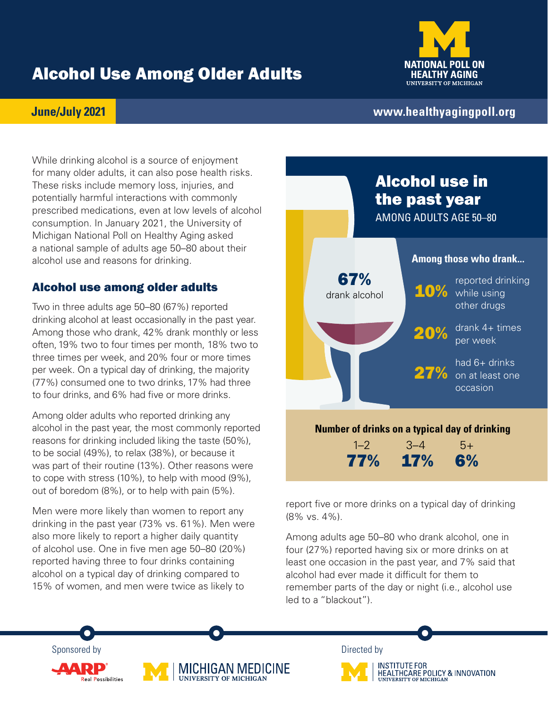# Alcohol Use Among Older Adults



### **June/July 2021**

## **[www.healthyagingpoll.org](https://www.healthyagingpoll.org/)**

While drinking alcohol is a source of enjoyment for many older adults, it can also pose health risks. These risks include memory loss, injuries, and potentially harmful interactions with commonly prescribed medications, even at low levels of alcohol consumption. In January 2021, the University of Michigan National Poll on Healthy Aging asked a national sample of adults age 50–80 about their alcohol use and reasons for drinking.

## Alcohol use among older adults

Two in three adults age 50–80 (67%) reported drinking alcohol at least occasionally in the past year. Among those who drank, 42% drank monthly or less often, 19% two to four times per month, 18% two to three times per week, and 20% four or more times per week. On a typical day of drinking, the majority (77%) consumed one to two drinks, 17% had three to four drinks, and 6% had five or more drinks.

Among older adults who reported drinking any alcohol in the past year, the most commonly reported reasons for drinking included liking the taste (50%), to be social (49%), to relax (38%), or because it was part of their routine (13%). Other reasons were to cope with stress (10%), to help with mood (9%), out of boredom (8%), or to help with pain (5%).

Men were more likely than women to report any drinking in the past year (73% vs. 61%). Men were also more likely to report a higher daily quantity of alcohol use. One in five men age 50–80 (20%) reported having three to four drinks containing alcohol on a typical day of drinking compared to 15% of women, and men were twice as likely to



report five or more drinks on a typical day of drinking (8% vs. 4%).

Among adults age 50–80 who drank alcohol, one in four (27%) reported having six or more drinks on at least one occasion in the past year, and 7% said that alcohol had ever made it difficult for them to remember parts of the day or night (i.e., alcohol use led to a "blackout").





**INSTITUTE FOR** HEALTHCARE POLICY & INNOVATION **UNIVERSITY OF MICHIGAL**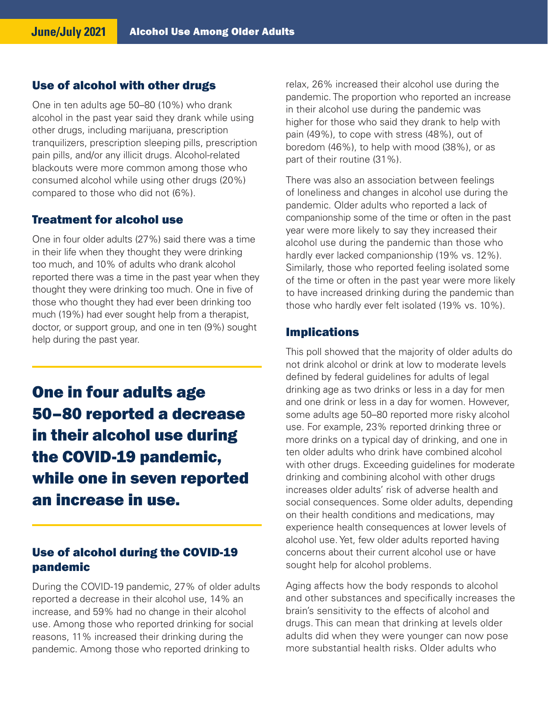#### Use of alcohol with other drugs

One in ten adults age 50–80 (10%) who drank alcohol in the past year said they drank while using other drugs, including marijuana, prescription tranquilizers, prescription sleeping pills, prescription pain pills, and/or any illicit drugs. Alcohol-related blackouts were more common among those who consumed alcohol while using other drugs (20%) compared to those who did not (6%).

### Treatment for alcohol use

One in four older adults (27%) said there was a time in their life when they thought they were drinking too much, and 10% of adults who drank alcohol reported there was a time in the past year when they thought they were drinking too much. One in five of those who thought they had ever been drinking too much (19%) had ever sought help from a therapist, doctor, or support group, and one in ten (9%) sought help during the past year.

One in four adults age 50–80 reported a decrease in their alcohol use during the COVID-19 pandemic, while one in seven reported an increase in use.

### Use of alcohol during the COVID-19 pandemic

During the COVID-19 pandemic, 27% of older adults reported a decrease in their alcohol use, 14% an increase, and 59% had no change in their alcohol use. Among those who reported drinking for social reasons, 11% increased their drinking during the pandemic. Among those who reported drinking to

relax, 26% increased their alcohol use during the pandemic. The proportion who reported an increase in their alcohol use during the pandemic was higher for those who said they drank to help with pain (49%), to cope with stress (48%), out of boredom (46%), to help with mood (38%), or as part of their routine (31%).

There was also an association between feelings of loneliness and changes in alcohol use during the pandemic. Older adults who reported a lack of companionship some of the time or often in the past year were more likely to say they increased their alcohol use during the pandemic than those who hardly ever lacked companionship (19% vs. 12%). Similarly, those who reported feeling isolated some of the time or often in the past year were more likely to have increased drinking during the pandemic than those who hardly ever felt isolated (19% vs. 10%).

#### Implications

This poll showed that the majority of older adults do not drink alcohol or drink at low to moderate levels defined by federal guidelines for adults of legal drinking age as two drinks or less in a day for men and one drink or less in a day for women. However, some adults age 50–80 reported more risky alcohol use. For example, 23% reported drinking three or more drinks on a typical day of drinking, and one in ten older adults who drink have combined alcohol with other drugs. Exceeding guidelines for moderate drinking and combining alcohol with other drugs increases older adults' risk of adverse health and social consequences. Some older adults, depending on their health conditions and medications, may experience health consequences at lower levels of alcohol use. Yet, few older adults reported having concerns about their current alcohol use or have sought help for alcohol problems.

Aging affects how the body responds to alcohol and other substances and specifically increases the brain's sensitivity to the effects of alcohol and drugs. This can mean that drinking at levels older adults did when they were younger can now pose more substantial health risks. Older adults who